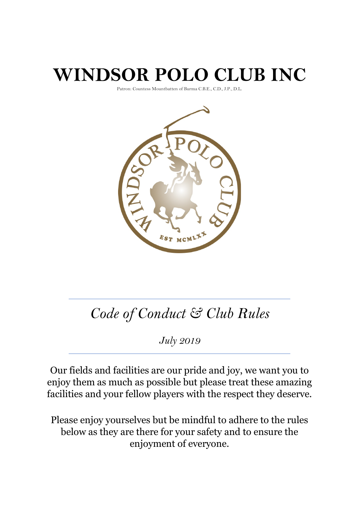# **WINDSOR POLO CLUB INC**

Patron: Countess Mountbatten of Burma C.B.E., C.D., J.P., D.L.



## *Code of Conduct & Club Rules*

*July 2019*

Our fields and facilities are our pride and joy, we want you to enjoy them as much as possible but please treat these amazing facilities and your fellow players with the respect they deserve.

Please enjoy yourselves but be mindful to adhere to the rules below as they are there for your safety and to ensure the enjoyment of everyone.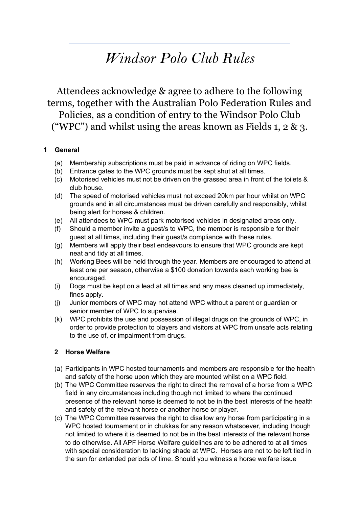### *Windsor Polo Club Rules*

Attendees acknowledge & agree to adhere to the following terms, together with the Australian Polo Federation Rules and Policies, as a condition of entry to the Windsor Polo Club ("WPC") and whilst using the areas known as Fields 1, 2  $\&$  3.

#### **1 General**

- (a) Membership subscriptions must be paid in advance of riding on WPC fields.
- (b) Entrance gates to the WPC grounds must be kept shut at all times.
- (c) Motorised vehicles must not be driven on the grassed area in front of the toilets & club house.
- (d) The speed of motorised vehicles must not exceed 20km per hour whilst on WPC grounds and in all circumstances must be driven carefully and responsibly, whilst being alert for horses & children.
- (e) All attendees to WPC must park motorised vehicles in designated areas only.
- (f) Should a member invite a guest/s to WPC, the member is responsible for their guest at all times, including their guest/s compliance with these rules.
- (g) Members will apply their best endeavours to ensure that WPC grounds are kept neat and tidy at all times.
- (h) Working Bees will be held through the year. Members are encouraged to attend at least one per season, otherwise a \$100 donation towards each working bee is encouraged.
- (i) Dogs must be kept on a lead at all times and any mess cleaned up immediately, fines apply.
- (j) Junior members of WPC may not attend WPC without a parent or guardian or senior member of WPC to supervise.
- (k) WPC prohibits the use and possession of illegal drugs on the grounds of WPC, in order to provide protection to players and visitors at WPC from unsafe acts relating to the use of, or impairment from drugs.

#### **2 Horse Welfare**

- (a) Participants in WPC hosted tournaments and members are responsible for the health and safety of the horse upon which they are mounted whilst on a WPC field.
- (b) The WPC Committee reserves the right to direct the removal of a horse from a WPC field in any circumstances including though not limited to where the continued presence of the relevant horse is deemed to not be in the best interests of the health and safety of the relevant horse or another horse or player.
- (c) The WPC Committee reserves the right to disallow any horse from participating in a WPC hosted tournament or in chukkas for any reason whatsoever, including though not limited to where it is deemed to not be in the best interests of the relevant horse to do otherwise. All APF Horse Welfare guidelines are to be adhered to at all times with special consideration to lacking shade at WPC. Horses are not to be left tied in the sun for extended periods of time. Should you witness a horse welfare issue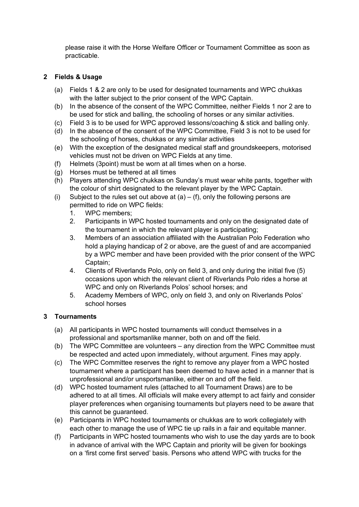please raise it with the Horse Welfare Officer or Tournament Committee as soon as practicable.

#### **2 Fields & Usage**

- (a) Fields 1 & 2 are only to be used for designated tournaments and WPC chukkas with the latter subject to the prior consent of the WPC Captain.
- (b) In the absence of the consent of the WPC Committee, neither Fields 1 nor 2 are to be used for stick and balling, the schooling of horses or any similar activities.
- (c) Field 3 is to be used for WPC approved lessons/coaching & stick and balling only.
- (d) In the absence of the consent of the WPC Committee, Field 3 is not to be used for the schooling of horses, chukkas or any similar activities
- (e) With the exception of the designated medical staff and groundskeepers, motorised vehicles must not be driven on WPC Fields at any time.
- (f) Helmets (3point) must be worn at all times when on a horse.
- (g) Horses must be tethered at all times
- (h) Players attending WPC chukkas on Sunday's must wear white pants, together with the colour of shirt designated to the relevant player by the WPC Captain.
- (i) Subject to the rules set out above at  $(a) (f)$ , only the following persons are permitted to ride on WPC fields:
	- 1. WPC members;
	- 2. Participants in WPC hosted tournaments and only on the designated date of the tournament in which the relevant player is participating;
	- 3. Members of an association affiliated with the Australian Polo Federation who hold a playing handicap of 2 or above, are the guest of and are accompanied by a WPC member and have been provided with the prior consent of the WPC Captain;
	- 4. Clients of Riverlands Polo, only on field 3, and only during the initial five (5) occasions upon which the relevant client of Riverlands Polo rides a horse at WPC and only on Riverlands Polos' school horses; and
	- 5. Academy Members of WPC, only on field 3, and only on Riverlands Polos' school horses

#### **3 Tournaments**

- (a) All participants in WPC hosted tournaments will conduct themselves in a professional and sportsmanlike manner, both on and off the field.
- (b) The WPC Committee are volunteers any direction from the WPC Committee must be respected and acted upon immediately, without argument. Fines may apply.
- (c) The WPC Committee reserves the right to remove any player from a WPC hosted tournament where a participant has been deemed to have acted in a manner that is unprofessional and/or unsportsmanlike, either on and off the field.
- (d) WPC hosted tournament rules (attached to all Tournament Draws) are to be adhered to at all times. All officials will make every attempt to act fairly and consider player preferences when organising tournaments but players need to be aware that this cannot be guaranteed.
- (e) Participants in WPC hosted tournaments or chukkas are to work collegiately with each other to manage the use of WPC tie up rails in a fair and equitable manner.
- (f) Participants in WPC hosted tournaments who wish to use the day yards are to book in advance of arrival with the WPC Captain and priority will be given for bookings on a 'first come first served' basis. Persons who attend WPC with trucks for the